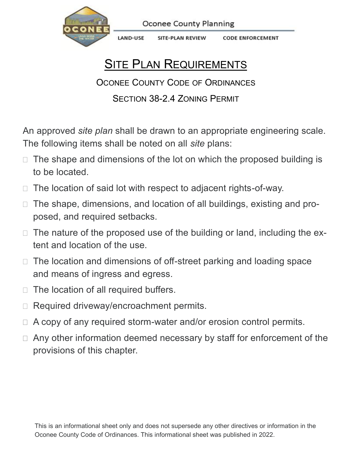

**Oconee County Planning** 

LAND-USE SITE-PLAN REVIEW **CODE ENFORCEMENT** 

## **SITE PLAN REQUIREMENTS**

OCONEE COUNTY CODE OF ORDINANCES

## SECTION 38-2.4 ZONING PERMIT

An approved *site plan* shall be drawn to an appropriate engineering scale. The following items shall be noted on all *site* plans:

- $\Box$  The shape and dimensions of the lot on which the proposed building is to be located.
- $\Box$  The location of said lot with respect to adjacent rights-of-way.
- □ The shape, dimensions, and location of all buildings, existing and proposed, and required setbacks.
- $\Box$  The nature of the proposed use of the building or land, including the extent and location of the use.
- $\Box$  The location and dimensions of off-street parking and loading space and means of ingress and egress.
- $\Box$  The location of all required buffers.
- □ Required driveway/encroachment permits.
- $\Box$  A copy of any required storm-water and/or erosion control permits.
- $\Box$  Any other information deemed necessary by staff for enforcement of the provisions of this chapter.